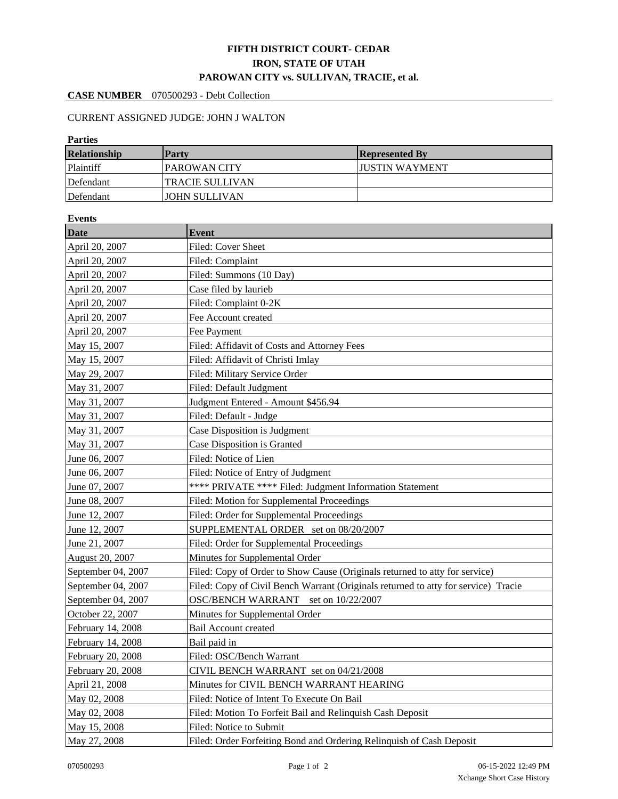## **FIFTH DISTRICT COURT- CEDAR IRON, STATE OF UTAH PAROWAN CITY vs. SULLIVAN, TRACIE, et al.**

## **CASE NUMBER** 070500293 - Debt Collection

## CURRENT ASSIGNED JUDGE: JOHN J WALTON

| <b>Parties</b>                                                                                    |                                                                                    |                                                                      |  |  |  |  |  |
|---------------------------------------------------------------------------------------------------|------------------------------------------------------------------------------------|----------------------------------------------------------------------|--|--|--|--|--|
| <b>Relationship</b>                                                                               | Party                                                                              | <b>Represented By</b>                                                |  |  |  |  |  |
| Plaintiff                                                                                         | PAROWAN CITY                                                                       | <b>JUSTIN WAYMENT</b>                                                |  |  |  |  |  |
| Defendant                                                                                         | <b>TRACIE SULLIVAN</b>                                                             |                                                                      |  |  |  |  |  |
| Defendant                                                                                         | <b>JOHN SULLIVAN</b>                                                               |                                                                      |  |  |  |  |  |
| <b>Events</b>                                                                                     |                                                                                    |                                                                      |  |  |  |  |  |
| <b>Date</b>                                                                                       | <b>Event</b>                                                                       |                                                                      |  |  |  |  |  |
| April 20, 2007                                                                                    | Filed: Cover Sheet                                                                 |                                                                      |  |  |  |  |  |
| April 20, 2007                                                                                    | Filed: Complaint                                                                   |                                                                      |  |  |  |  |  |
| April 20, 2007                                                                                    | Filed: Summons (10 Day)                                                            |                                                                      |  |  |  |  |  |
| April 20, 2007                                                                                    | Case filed by laurieb                                                              |                                                                      |  |  |  |  |  |
| April 20, 2007                                                                                    | Filed: Complaint 0-2K                                                              |                                                                      |  |  |  |  |  |
| April 20, 2007                                                                                    | Fee Account created                                                                |                                                                      |  |  |  |  |  |
| April 20, 2007                                                                                    | Fee Payment                                                                        |                                                                      |  |  |  |  |  |
| May 15, 2007                                                                                      | Filed: Affidavit of Costs and Attorney Fees                                        |                                                                      |  |  |  |  |  |
| May 15, 2007                                                                                      | Filed: Affidavit of Christi Imlay                                                  |                                                                      |  |  |  |  |  |
| May 29, 2007                                                                                      |                                                                                    | Filed: Military Service Order                                        |  |  |  |  |  |
| May 31, 2007                                                                                      | Filed: Default Judgment                                                            |                                                                      |  |  |  |  |  |
| May 31, 2007                                                                                      |                                                                                    | Judgment Entered - Amount \$456.94                                   |  |  |  |  |  |
| May 31, 2007                                                                                      | Filed: Default - Judge                                                             |                                                                      |  |  |  |  |  |
| May 31, 2007                                                                                      |                                                                                    | Case Disposition is Judgment                                         |  |  |  |  |  |
| May 31, 2007                                                                                      | Case Disposition is Granted                                                        |                                                                      |  |  |  |  |  |
| June 06, 2007                                                                                     | Filed: Notice of Lien                                                              |                                                                      |  |  |  |  |  |
| June 06, 2007                                                                                     |                                                                                    | Filed: Notice of Entry of Judgment                                   |  |  |  |  |  |
| June 07, 2007                                                                                     |                                                                                    | **** PRIVATE **** Filed: Judgment Information Statement              |  |  |  |  |  |
| June 08, 2007                                                                                     | Filed: Motion for Supplemental Proceedings                                         |                                                                      |  |  |  |  |  |
| June 12, 2007                                                                                     | Filed: Order for Supplemental Proceedings                                          |                                                                      |  |  |  |  |  |
| June 12, 2007                                                                                     | SUPPLEMENTAL ORDER set on 08/20/2007                                               |                                                                      |  |  |  |  |  |
| Filed: Order for Supplemental Proceedings<br>June 21, 2007                                        |                                                                                    |                                                                      |  |  |  |  |  |
| August 20, 2007                                                                                   | Minutes for Supplemental Order                                                     |                                                                      |  |  |  |  |  |
| September 04, 2007<br>Filed: Copy of Order to Show Cause (Originals returned to atty for service) |                                                                                    |                                                                      |  |  |  |  |  |
| September 04, 2007                                                                                | Filed: Copy of Civil Bench Warrant (Originals returned to atty for service) Tracie |                                                                      |  |  |  |  |  |
| September 04, 2007                                                                                |                                                                                    | OSC/BENCH WARRANT set on 10/22/2007                                  |  |  |  |  |  |
| October 22, 2007                                                                                  |                                                                                    | Minutes for Supplemental Order                                       |  |  |  |  |  |
| February 14, 2008                                                                                 | Bail Account created                                                               |                                                                      |  |  |  |  |  |
| February 14, 2008                                                                                 | Bail paid in                                                                       |                                                                      |  |  |  |  |  |
| February 20, 2008                                                                                 | Filed: OSC/Bench Warrant                                                           |                                                                      |  |  |  |  |  |
| February 20, 2008                                                                                 |                                                                                    | CIVIL BENCH WARRANT set on 04/21/2008                                |  |  |  |  |  |
| April 21, 2008                                                                                    |                                                                                    | Minutes for CIVIL BENCH WARRANT HEARING                              |  |  |  |  |  |
| May 02, 2008                                                                                      |                                                                                    | Filed: Notice of Intent To Execute On Bail                           |  |  |  |  |  |
| May 02, 2008                                                                                      |                                                                                    | Filed: Motion To Forfeit Bail and Relinquish Cash Deposit            |  |  |  |  |  |
| May 15, 2008                                                                                      | Filed: Notice to Submit                                                            |                                                                      |  |  |  |  |  |
| May 27, 2008                                                                                      |                                                                                    | Filed: Order Forfeiting Bond and Ordering Relinquish of Cash Deposit |  |  |  |  |  |